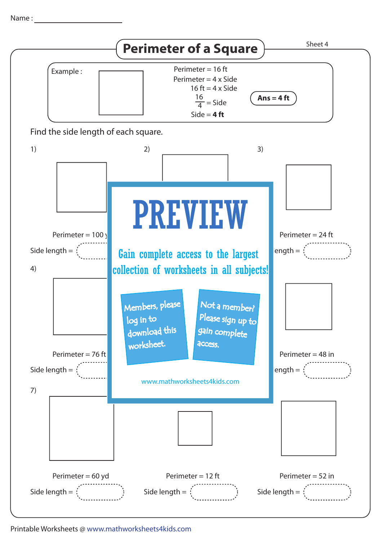